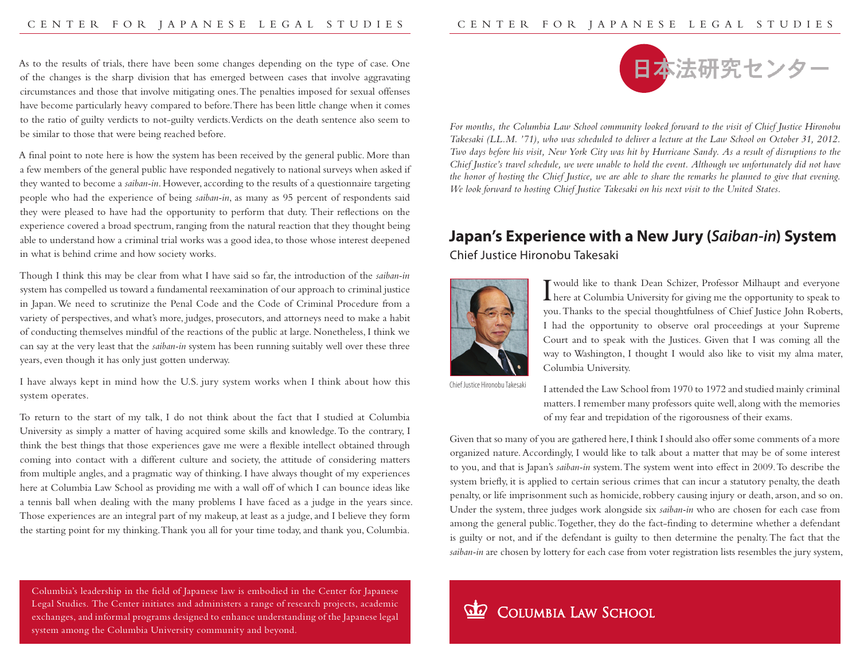As to the results of trials, there have been some changes depending on the type of case. One of the changes is the sharp division that has emerged between cases that involve aggravating circumstances and those that involve mitigating ones. The penalties imposed for sexual offenses have become particularly heavy compared to before. There has been little change when it comes to the ratio of guilty verdicts to not-guilty verdicts. Verdicts on the death sentence also seem to be similar to those that were being reached before.

A final point to note here is how the system has been received by the general public. More than a few members of the general public have responded negatively to national surveys when asked if they wanted to become a *saiban-in*. However, according to the results of a questionnaire targeting people who had the experience of being *saiban-in*, as many as 95 percent of respondents said they were pleased to have had the opportunity to perform that duty. Their reflections on the experience covered a broad spectrum, ranging from the natural reaction that they thought being able to understand how a criminal trial works was a good idea, to those whose interest deepened in what is behind crime and how society works.

Though I think this may be clear from what I have said so far, the introduction of the *saiban-in* system has compelled us toward a fundamental reexamination of our approach to criminal justice in Japan. We need to scrutinize the Penal Code and the Code of Criminal Procedure from a variety of perspectives, and what's more, judges, prosecutors, and attorneys need to make a habit of conducting themselves mindful of the reactions of the public at large. Nonetheless, I think we can say at the very least that the *saiban-in* system has been running suitably well over these three years, even though it has only just gotten underway.

I have always kept in mind how the U.S. jury system works when I think about how this system operates.

To return to the start of my talk, I do not think about the fact that I studied at Columbia University as simply a matter of having acquired some skills and knowledge. To the contrary, I think the best things that those experiences gave me were a flexible intellect obtained through coming into contact with a different culture and society, the attitude of considering matters from multiple angles, and a pragmatic way of thinking. I have always thought of my experiences here at Columbia Law School as providing me with a wall off of which I can bounce ideas like a tennis ball when dealing with the many problems I have faced as a judge in the years since. Those experiences are an integral part of my makeup, at least as a judge, and I believe they form the starting point for my thinking. Thank you all for your time today, and thank you, Columbia.



*For months, the Columbia Law School community looked forward to the visit of Chief Justice Hironobu Takesaki (LL.M. '71), who was scheduled to deliver a lecture at the Law School on October 31, 2012. Two days before his visit, New York City was hit by Hurricane Sandy. As a result of disruptions to the Chief Justice's travel schedule, we were unable to hold the event. Although we unfortunately did not have the honor of hosting the Chief Justice, we are able to share the remarks he planned to give that evening. We look forward to hosting Chief Justice Takesaki on his next visit to the United States.*

## **Japan's Experience with a New Jury (***Saiban-in***) System** Chief Justice Hironobu Takesaki



I here at Columbia University for giving me the opportunity to speak to would like to thank Dean Schizer, Professor Milhaupt and everyone you. Thanks to the special thoughtfulness of Chief Justice John Roberts, I had the opportunity to observe oral proceedings at your Supreme Court and to speak with the Justices. Given that I was coming all the way to Washington, I thought I would also like to visit my alma mater, Columbia University.

Chief Justice Hironobu Takesaki

I attended the Law School from 1970 to 1972 and studied mainly criminal matters. I remember many professors quite well, along with the memories of my fear and trepidation of the rigorousness of their exams.

Given that so many of you are gathered here, I think I should also offer some comments of a more organized nature. Accordingly, I would like to talk about a matter that may be of some interest to you, and that is Japan's *saiban-in* system. The system went into effect in 2009. To describe the system briefly, it is applied to certain serious crimes that can incur a statutory penalty, the death penalty, or life imprisonment such as homicide, robbery causing injury or death, arson, and so on. Under the system, three judges work alongside six *saiban-in* who are chosen for each case from among the general public. Together, they do the fact-finding to determine whether a defendant is guilty or not, and if the defendant is guilty to then determine the penalty. The fact that the *saiban-in* are chosen by lottery for each case from voter registration lists resembles the jury system,

Columbia's leadership in the field of Japanese law is embodied in the Center for Japanese Legal Studies. The Center initiates and administers a range of research projects, academic exchanges, and informal programs designed to enhance understanding of the Japanese legal system among the Columbia University community and beyond.

## COLUMBIA LAW SCHOOL **QQ**